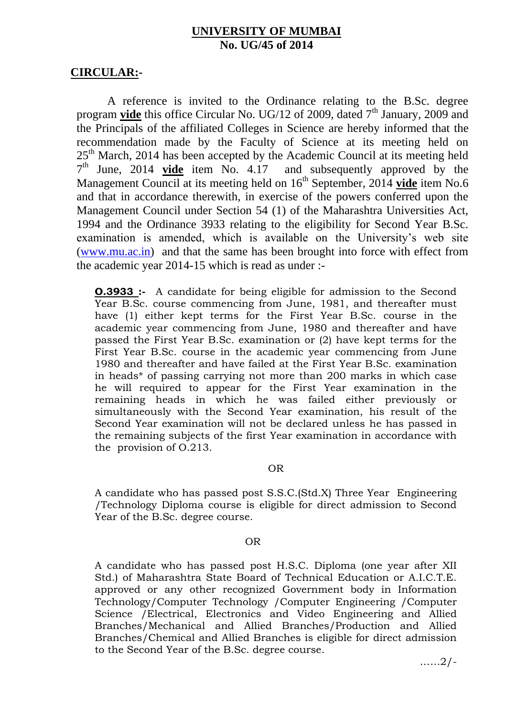# **UNIVERSITY OF MUMBAI No. UG/45 of 2014**

## **CIRCULAR:-**

A reference is invited to the Ordinance relating to the B.Sc. degree program **vide** this office Circular No. UG/12 of 2009, dated 7<sup>th</sup> January, 2009 and the Principals of the affiliated Colleges in Science are hereby informed that the recommendation made by the Faculty of Science at its meeting held on 25<sup>th</sup> March, 2014 has been accepted by the Academic Council at its meeting held 7<sup>th</sup> June, 2014 **vide** item No. 4.17 and subsequently approved by the Management Council at its meeting held on 16<sup>th</sup> September, 2014 **vide** item No.6 and that in accordance therewith, in exercise of the powers conferred upon the Management Council under Section 54 (1) of the Maharashtra Universities Act, 1994 and the Ordinance 3933 relating to the eligibility for Second Year B.Sc. examination is amended, which is available on the University's web site [\(www.mu.ac.in\)](http://www.mu.ac.in/) and that the same has been brought into force with effect from the academic year 2014-15 which is read as under :-

**O.3933 :-** A candidate for being eligible for admission to the Second Year B.Sc. course commencing from June, 1981, and thereafter must have (1) either kept terms for the First Year B.Sc. course in the academic year commencing from June, 1980 and thereafter and have passed the First Year B.Sc. examination or (2) have kept terms for the First Year B.Sc. course in the academic year commencing from June 1980 and thereafter and have failed at the First Year B.Sc. examination in heads\* of passing carrying not more than 200 marks in which case he will required to appear for the First Year examination in the remaining heads in which he was failed either previously or simultaneously with the Second Year examination, his result of the Second Year examination will not be declared unless he has passed in the remaining subjects of the first Year examination in accordance with the provision of O.213.

### OR

A candidate who has passed post S.S.C.(Std.X) Three Year Engineering /Technology Diploma course is eligible for direct admission to Second Year of the B.Sc. degree course.

## **OR** Service Service Service Service Service Service Service Service Service Service Service Service Service Service Service Service Service Service Service Service Service Service Service Service Service Service Service S

A candidate who has passed post H.S.C. Diploma (one year after XII Std.) of Maharashtra State Board of Technical Education or A.I.C.T.E. approved or any other recognized Government body in Information Technology/Computer Technology /Computer Engineering /Computer Science /Electrical, Electronics and Video Engineering and Allied Branches/Mechanical and Allied Branches/Production and Allied Branches/Chemical and Allied Branches is eligible for direct admission to the Second Year of the B.Sc. degree course.

……2/-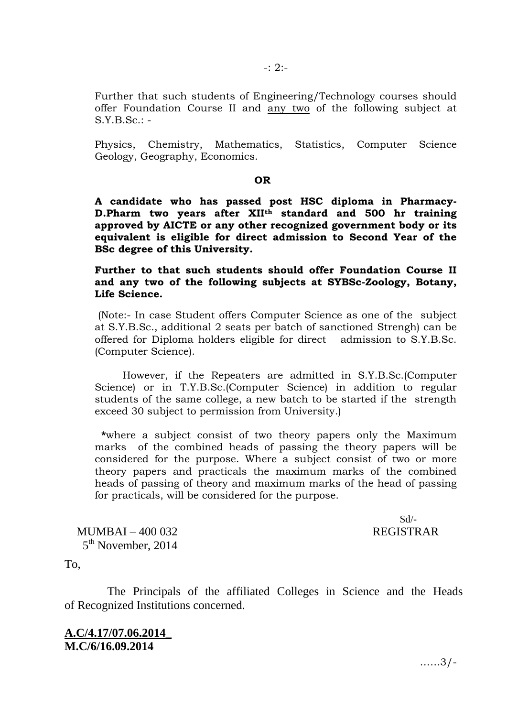Further that such students of Engineering/Technology courses should offer Foundation Course II and any two of the following subject at  $S.Y.B.Sc.: -$ 

Physics, Chemistry, Mathematics, Statistics, Computer Science Geology, Geography, Economics.

### **OR** OR

**A candidate who has passed post HSC diploma in Pharmacy-D.Pharm two years after XIIth standard and 500 hr training approved by AICTE or any other recognized government body or its equivalent is eligible for direct admission to Second Year of the BSc degree of this University.**

**Further to that such students should offer Foundation Course II and any two of the following subjects at SYBSc-Zoology, Botany, Life Science.** 

(Note:- In case Student offers Computer Science as one of the subject at S.Y.B.Sc., additional 2 seats per batch of sanctioned Strengh) can be offered for Diploma holders eligible for direct admission to S.Y.B.Sc. (Computer Science).

However, if the Repeaters are admitted in S.Y.B.Sc.(Computer Science) or in T.Y.B.Sc.(Computer Science) in addition to regular students of the same college, a new batch to be started if the strength exceed 30 subject to permission from University.)

 **\***where a subject consist of two theory papers only the Maximum marks of the combined heads of passing the theory papers will be considered for the purpose. Where a subject consist of two or more theory papers and practicals the maximum marks of the combined heads of passing of theory and maximum marks of the head of passing for practicals, will be considered for the purpose.

 $Sd/-$ 

MUMBAI – 400 032 REGISTRAR 5<sup>th</sup> November, 2014

To,

The Principals of the affiliated Colleges in Science and the Heads of Recognized Institutions concerned.

**A.C/4.17/07.06.2014\_ M.C/6/16.09.2014**

……3/-